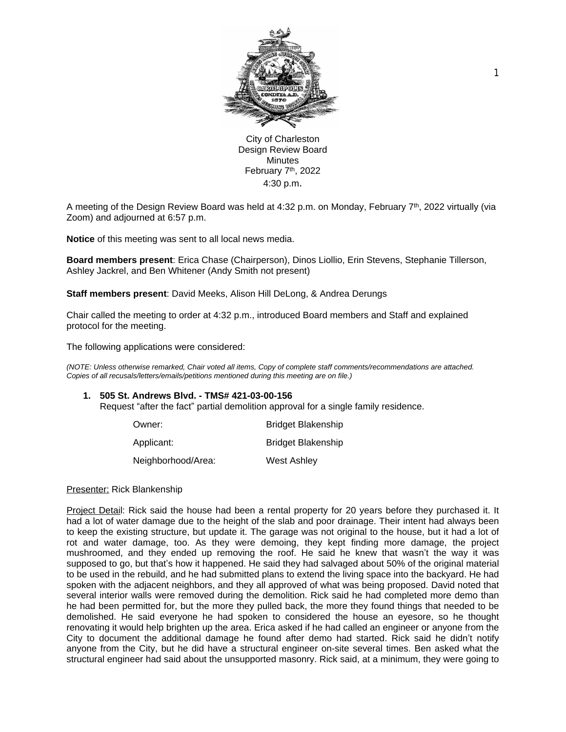

City of Charleston Design Review Board **Minutes** February 7<sup>th</sup>, 2022 4:30 p.m.

A meeting of the Design Review Board was held at 4:32 p.m. on Monday, February 7th, 2022 virtually (via Zoom) and adjourned at 6:57 p.m.

**Notice** of this meeting was sent to all local news media.

**Board members present**: Erica Chase (Chairperson), Dinos Liollio, Erin Stevens, Stephanie Tillerson, Ashley Jackrel, and Ben Whitener (Andy Smith not present)

**Staff members present**: David Meeks, Alison Hill DeLong, & Andrea Derungs

Chair called the meeting to order at 4:32 p.m., introduced Board members and Staff and explained protocol for the meeting.

The following applications were considered:

*(NOTE: Unless otherwise remarked, Chair voted all items, Copy of complete staff comments/recommendations are attached. Copies of all recusals/letters/emails/petitions mentioned during this meeting are on file.)* 

#### **1. 505 St. Andrews Blvd. - TMS# 421-03-00-156**

Request "after the fact" partial demolition approval for a single family residence.

| Owner:             | <b>Bridget Blakenship</b> |
|--------------------|---------------------------|
| Applicant:         | <b>Bridget Blakenship</b> |
| Neighborhood/Area: | <b>West Ashley</b>        |

#### Presenter: Rick Blankenship

Project Detail: Rick said the house had been a rental property for 20 years before they purchased it. It had a lot of water damage due to the height of the slab and poor drainage. Their intent had always been to keep the existing structure, but update it. The garage was not original to the house, but it had a lot of rot and water damage, too. As they were demoing, they kept finding more damage, the project mushroomed, and they ended up removing the roof. He said he knew that wasn't the way it was supposed to go, but that's how it happened. He said they had salvaged about 50% of the original material to be used in the rebuild, and he had submitted plans to extend the living space into the backyard. He had spoken with the adjacent neighbors, and they all approved of what was being proposed. David noted that several interior walls were removed during the demolition. Rick said he had completed more demo than he had been permitted for, but the more they pulled back, the more they found things that needed to be demolished. He said everyone he had spoken to considered the house an eyesore, so he thought renovating it would help brighten up the area. Erica asked if he had called an engineer or anyone from the City to document the additional damage he found after demo had started. Rick said he didn't notify anyone from the City, but he did have a structural engineer on-site several times. Ben asked what the structural engineer had said about the unsupported masonry. Rick said, at a minimum, they were going to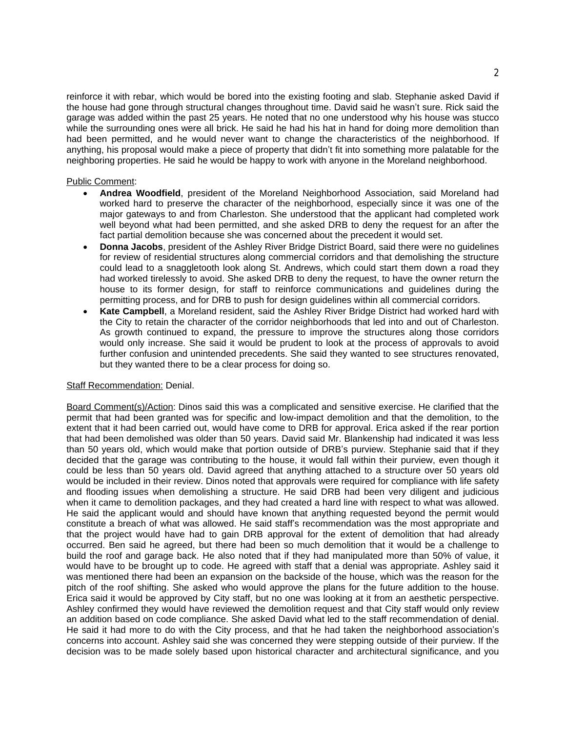reinforce it with rebar, which would be bored into the existing footing and slab. Stephanie asked David if the house had gone through structural changes throughout time. David said he wasn't sure. Rick said the garage was added within the past 25 years. He noted that no one understood why his house was stucco while the surrounding ones were all brick. He said he had his hat in hand for doing more demolition than had been permitted, and he would never want to change the characteristics of the neighborhood. If anything, his proposal would make a piece of property that didn't fit into something more palatable for the neighboring properties. He said he would be happy to work with anyone in the Moreland neighborhood.

## Public Comment:

- **Andrea Woodfield**, president of the Moreland Neighborhood Association, said Moreland had worked hard to preserve the character of the neighborhood, especially since it was one of the major gateways to and from Charleston. She understood that the applicant had completed work well beyond what had been permitted, and she asked DRB to deny the request for an after the fact partial demolition because she was concerned about the precedent it would set.
- **Donna Jacobs**, president of the Ashley River Bridge District Board, said there were no guidelines for review of residential structures along commercial corridors and that demolishing the structure could lead to a snaggletooth look along St. Andrews, which could start them down a road they had worked tirelessly to avoid. She asked DRB to deny the request, to have the owner return the house to its former design, for staff to reinforce communications and guidelines during the permitting process, and for DRB to push for design guidelines within all commercial corridors.
- **Kate Campbell**, a Moreland resident, said the Ashley River Bridge District had worked hard with the City to retain the character of the corridor neighborhoods that led into and out of Charleston. As growth continued to expand, the pressure to improve the structures along those corridors would only increase. She said it would be prudent to look at the process of approvals to avoid further confusion and unintended precedents. She said they wanted to see structures renovated, but they wanted there to be a clear process for doing so.

#### **Staff Recommendation: Denial.**

Board Comment(s)/Action: Dinos said this was a complicated and sensitive exercise. He clarified that the permit that had been granted was for specific and low-impact demolition and that the demolition, to the extent that it had been carried out, would have come to DRB for approval. Erica asked if the rear portion that had been demolished was older than 50 years. David said Mr. Blankenship had indicated it was less than 50 years old, which would make that portion outside of DRB's purview. Stephanie said that if they decided that the garage was contributing to the house, it would fall within their purview, even though it could be less than 50 years old. David agreed that anything attached to a structure over 50 years old would be included in their review. Dinos noted that approvals were required for compliance with life safety and flooding issues when demolishing a structure. He said DRB had been very diligent and judicious when it came to demolition packages, and they had created a hard line with respect to what was allowed. He said the applicant would and should have known that anything requested beyond the permit would constitute a breach of what was allowed. He said staff's recommendation was the most appropriate and that the project would have had to gain DRB approval for the extent of demolition that had already occurred. Ben said he agreed, but there had been so much demolition that it would be a challenge to build the roof and garage back. He also noted that if they had manipulated more than 50% of value, it would have to be brought up to code. He agreed with staff that a denial was appropriate. Ashley said it was mentioned there had been an expansion on the backside of the house, which was the reason for the pitch of the roof shifting. She asked who would approve the plans for the future addition to the house. Erica said it would be approved by City staff, but no one was looking at it from an aesthetic perspective. Ashley confirmed they would have reviewed the demolition request and that City staff would only review an addition based on code compliance. She asked David what led to the staff recommendation of denial. He said it had more to do with the City process, and that he had taken the neighborhood association's concerns into account. Ashley said she was concerned they were stepping outside of their purview. If the decision was to be made solely based upon historical character and architectural significance, and you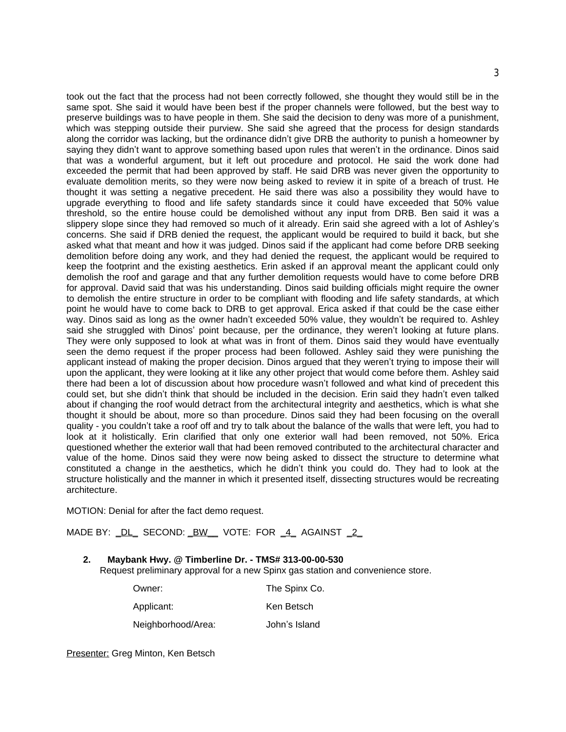took out the fact that the process had not been correctly followed, she thought they would still be in the same spot. She said it would have been best if the proper channels were followed, but the best way to preserve buildings was to have people in them. She said the decision to deny was more of a punishment, which was stepping outside their purview. She said she agreed that the process for design standards along the corridor was lacking, but the ordinance didn't give DRB the authority to punish a homeowner by saying they didn't want to approve something based upon rules that weren't in the ordinance. Dinos said that was a wonderful argument, but it left out procedure and protocol. He said the work done had exceeded the permit that had been approved by staff. He said DRB was never given the opportunity to evaluate demolition merits, so they were now being asked to review it in spite of a breach of trust. He thought it was setting a negative precedent. He said there was also a possibility they would have to upgrade everything to flood and life safety standards since it could have exceeded that 50% value threshold, so the entire house could be demolished without any input from DRB. Ben said it was a slippery slope since they had removed so much of it already. Erin said she agreed with a lot of Ashley's concerns. She said if DRB denied the request, the applicant would be required to build it back, but she asked what that meant and how it was judged. Dinos said if the applicant had come before DRB seeking demolition before doing any work, and they had denied the request, the applicant would be required to keep the footprint and the existing aesthetics. Erin asked if an approval meant the applicant could only demolish the roof and garage and that any further demolition requests would have to come before DRB for approval. David said that was his understanding. Dinos said building officials might require the owner to demolish the entire structure in order to be compliant with flooding and life safety standards, at which point he would have to come back to DRB to get approval. Erica asked if that could be the case either way. Dinos said as long as the owner hadn't exceeded 50% value, they wouldn't be required to. Ashley said she struggled with Dinos' point because, per the ordinance, they weren't looking at future plans. They were only supposed to look at what was in front of them. Dinos said they would have eventually seen the demo request if the proper process had been followed. Ashley said they were punishing the applicant instead of making the proper decision. Dinos argued that they weren't trying to impose their will upon the applicant, they were looking at it like any other project that would come before them. Ashley said there had been a lot of discussion about how procedure wasn't followed and what kind of precedent this could set, but she didn't think that should be included in the decision. Erin said they hadn't even talked about if changing the roof would detract from the architectural integrity and aesthetics, which is what she thought it should be about, more so than procedure. Dinos said they had been focusing on the overall quality - you couldn't take a roof off and try to talk about the balance of the walls that were left, you had to look at it holistically. Erin clarified that only one exterior wall had been removed, not 50%. Erica questioned whether the exterior wall that had been removed contributed to the architectural character and value of the home. Dinos said they were now being asked to dissect the structure to determine what constituted a change in the aesthetics, which he didn't think you could do. They had to look at the structure holistically and the manner in which it presented itself, dissecting structures would be recreating architecture.

MOTION: Denial for after the fact demo request.

MADE BY: \_DL\_ SECOND: \_BW\_\_ VOTE: FOR \_4\_ AGAINST \_2\_

**2. Maybank Hwy. @ Timberline Dr. - TMS# 313-00-00-530** Request preliminary approval for a new Spinx gas station and convenience store.

| Owner:             | The Spinx Co. |
|--------------------|---------------|
| Applicant:         | Ken Betsch    |
| Neighborhood/Area: | John's Island |

Presenter: Greg Minton, Ken Betsch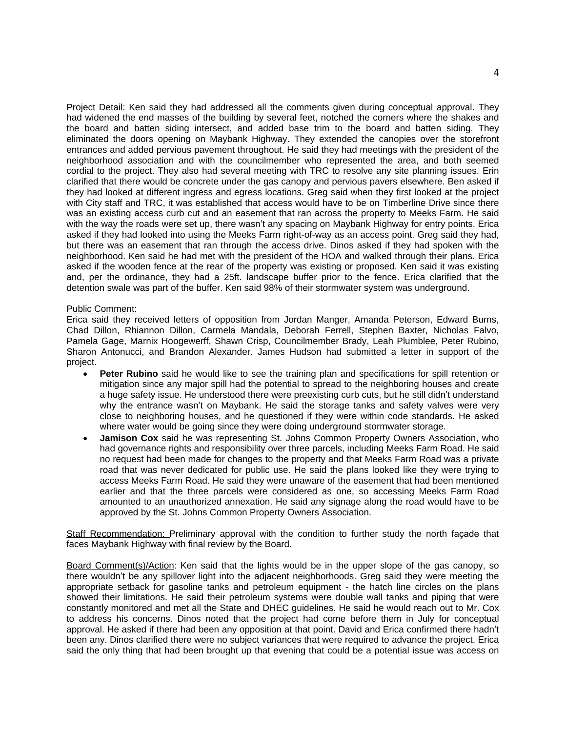Project Detail: Ken said they had addressed all the comments given during conceptual approval. They had widened the end masses of the building by several feet, notched the corners where the shakes and the board and batten siding intersect, and added base trim to the board and batten siding. They eliminated the doors opening on Maybank Highway. They extended the canopies over the storefront entrances and added pervious pavement throughout. He said they had meetings with the president of the neighborhood association and with the councilmember who represented the area, and both seemed cordial to the project. They also had several meeting with TRC to resolve any site planning issues. Erin clarified that there would be concrete under the gas canopy and pervious pavers elsewhere. Ben asked if they had looked at different ingress and egress locations. Greg said when they first looked at the project with City staff and TRC, it was established that access would have to be on Timberline Drive since there was an existing access curb cut and an easement that ran across the property to Meeks Farm. He said with the way the roads were set up, there wasn't any spacing on Maybank Highway for entry points. Erica asked if they had looked into using the Meeks Farm right-of-way as an access point. Greg said they had, but there was an easement that ran through the access drive. Dinos asked if they had spoken with the neighborhood. Ken said he had met with the president of the HOA and walked through their plans. Erica asked if the wooden fence at the rear of the property was existing or proposed. Ken said it was existing and, per the ordinance, they had a 25ft. landscape buffer prior to the fence. Erica clarified that the detention swale was part of the buffer. Ken said 98% of their stormwater system was underground.

#### Public Comment:

Erica said they received letters of opposition from Jordan Manger, Amanda Peterson, Edward Burns, Chad Dillon, Rhiannon Dillon, Carmela Mandala, Deborah Ferrell, Stephen Baxter, Nicholas Falvo, Pamela Gage, Marnix Hoogewerff, Shawn Crisp, Councilmember Brady, Leah Plumblee, Peter Rubino, Sharon Antonucci, and Brandon Alexander. James Hudson had submitted a letter in support of the project.

- **Peter Rubino** said he would like to see the training plan and specifications for spill retention or mitigation since any major spill had the potential to spread to the neighboring houses and create a huge safety issue. He understood there were preexisting curb cuts, but he still didn't understand why the entrance wasn't on Maybank. He said the storage tanks and safety valves were very close to neighboring houses, and he questioned if they were within code standards. He asked where water would be going since they were doing underground stormwater storage.
- **Jamison Cox** said he was representing St. Johns Common Property Owners Association, who had governance rights and responsibility over three parcels, including Meeks Farm Road. He said no request had been made for changes to the property and that Meeks Farm Road was a private road that was never dedicated for public use. He said the plans looked like they were trying to access Meeks Farm Road. He said they were unaware of the easement that had been mentioned earlier and that the three parcels were considered as one, so accessing Meeks Farm Road amounted to an unauthorized annexation. He said any signage along the road would have to be approved by the St. Johns Common Property Owners Association.

Staff Recommendation: Preliminary approval with the condition to further study the north façade that faces Maybank Highway with final review by the Board.

Board Comment(s)/Action: Ken said that the lights would be in the upper slope of the gas canopy, so there wouldn't be any spillover light into the adjacent neighborhoods. Greg said they were meeting the appropriate setback for gasoline tanks and petroleum equipment - the hatch line circles on the plans showed their limitations. He said their petroleum systems were double wall tanks and piping that were constantly monitored and met all the State and DHEC guidelines. He said he would reach out to Mr. Cox to address his concerns. Dinos noted that the project had come before them in July for conceptual approval. He asked if there had been any opposition at that point. David and Erica confirmed there hadn't been any. Dinos clarified there were no subject variances that were required to advance the project. Erica said the only thing that had been brought up that evening that could be a potential issue was access on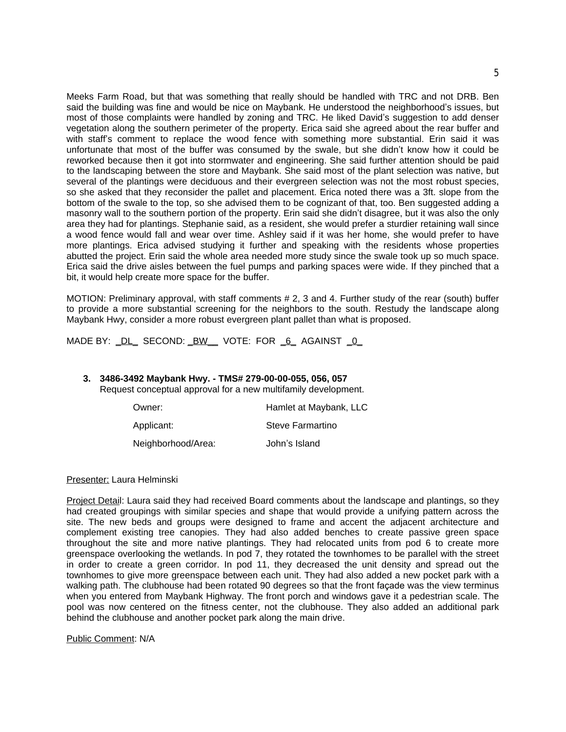Meeks Farm Road, but that was something that really should be handled with TRC and not DRB. Ben said the building was fine and would be nice on Maybank. He understood the neighborhood's issues, but most of those complaints were handled by zoning and TRC. He liked David's suggestion to add denser vegetation along the southern perimeter of the property. Erica said she agreed about the rear buffer and with staff's comment to replace the wood fence with something more substantial. Erin said it was unfortunate that most of the buffer was consumed by the swale, but she didn't know how it could be reworked because then it got into stormwater and engineering. She said further attention should be paid to the landscaping between the store and Maybank. She said most of the plant selection was native, but several of the plantings were deciduous and their evergreen selection was not the most robust species, so she asked that they reconsider the pallet and placement. Erica noted there was a 3ft. slope from the bottom of the swale to the top, so she advised them to be cognizant of that, too. Ben suggested adding a masonry wall to the southern portion of the property. Erin said she didn't disagree, but it was also the only area they had for plantings. Stephanie said, as a resident, she would prefer a sturdier retaining wall since a wood fence would fall and wear over time. Ashley said if it was her home, she would prefer to have more plantings. Erica advised studying it further and speaking with the residents whose properties abutted the project. Erin said the whole area needed more study since the swale took up so much space. Erica said the drive aisles between the fuel pumps and parking spaces were wide. If they pinched that a bit, it would help create more space for the buffer.

MOTION: Preliminary approval, with staff comments # 2, 3 and 4. Further study of the rear (south) buffer to provide a more substantial screening for the neighbors to the south. Restudy the landscape along Maybank Hwy, consider a more robust evergreen plant pallet than what is proposed.

MADE BY: \_DL\_ SECOND: \_BW \_\_ VOTE: FOR \_6\_ AGAINST \_0\_

# **3. 3486-3492 Maybank Hwy. - TMS# 279-00-00-055, 056, 057**

Request conceptual approval for a new multifamily development.

| Owner:             | Hamlet at Maybank, LLC |
|--------------------|------------------------|
| Applicant:         | Steve Farmartino       |
| Neighborhood/Area: | John's Island          |

### Presenter: Laura Helminski

Project Detail: Laura said they had received Board comments about the landscape and plantings, so they had created groupings with similar species and shape that would provide a unifying pattern across the site. The new beds and groups were designed to frame and accent the adjacent architecture and complement existing tree canopies. They had also added benches to create passive green space throughout the site and more native plantings. They had relocated units from pod 6 to create more greenspace overlooking the wetlands. In pod 7, they rotated the townhomes to be parallel with the street in order to create a green corridor. In pod 11, they decreased the unit density and spread out the townhomes to give more greenspace between each unit. They had also added a new pocket park with a walking path. The clubhouse had been rotated 90 degrees so that the front façade was the view terminus when you entered from Maybank Highway. The front porch and windows gave it a pedestrian scale. The pool was now centered on the fitness center, not the clubhouse. They also added an additional park behind the clubhouse and another pocket park along the main drive.

Public Comment: N/A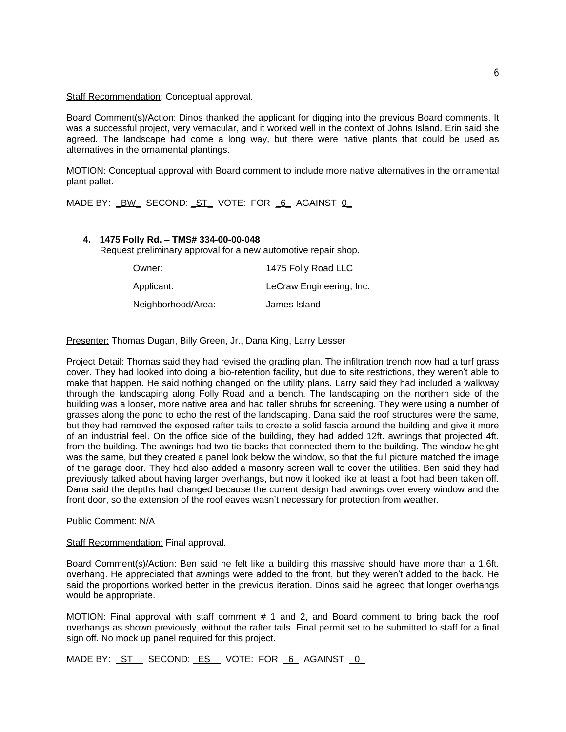Staff Recommendation: Conceptual approval.

Board Comment(s)/Action: Dinos thanked the applicant for digging into the previous Board comments. It was a successful project, very vernacular, and it worked well in the context of Johns Island. Erin said she agreed. The landscape had come a long way, but there were native plants that could be used as alternatives in the ornamental plantings.

MOTION: Conceptual approval with Board comment to include more native alternatives in the ornamental plant pallet.

MADE BY: <u>BW</u> SECOND: ST\_VOTE: FOR 6\_AGAINST 0\_

## **4. 1475 Folly Rd. – TMS# 334-00-00-048**

Request preliminary approval for a new automotive repair shop.

| Owner:             | 1475 Folly Road LLC      |
|--------------------|--------------------------|
| Applicant:         | LeCraw Engineering, Inc. |
| Neighborhood/Area: | James Island             |

Presenter: Thomas Dugan, Billy Green, Jr., Dana King, Larry Lesser

Project Detail: Thomas said they had revised the grading plan. The infiltration trench now had a turf grass cover. They had looked into doing a bio-retention facility, but due to site restrictions, they weren't able to make that happen. He said nothing changed on the utility plans. Larry said they had included a walkway through the landscaping along Folly Road and a bench. The landscaping on the northern side of the building was a looser, more native area and had taller shrubs for screening. They were using a number of grasses along the pond to echo the rest of the landscaping. Dana said the roof structures were the same, but they had removed the exposed rafter tails to create a solid fascia around the building and give it more of an industrial feel. On the office side of the building, they had added 12ft. awnings that projected 4ft. from the building. The awnings had two tie-backs that connected them to the building. The window height was the same, but they created a panel look below the window, so that the full picture matched the image of the garage door. They had also added a masonry screen wall to cover the utilities. Ben said they had previously talked about having larger overhangs, but now it looked like at least a foot had been taken off. Dana said the depths had changed because the current design had awnings over every window and the front door, so the extension of the roof eaves wasn't necessary for protection from weather.

Public Comment: N/A

Staff Recommendation: Final approval.

Board Comment(s)/Action: Ben said he felt like a building this massive should have more than a 1.6ft. overhang. He appreciated that awnings were added to the front, but they weren't added to the back. He said the proportions worked better in the previous iteration. Dinos said he agreed that longer overhangs would be appropriate.

MOTION: Final approval with staff comment # 1 and 2, and Board comment to bring back the roof overhangs as shown previously, without the rafter tails. Final permit set to be submitted to staff for a final sign off. No mock up panel required for this project.

MADE BY: ST\_ SECOND: ES\_ VOTE: FOR 6\_ AGAINST 0\_